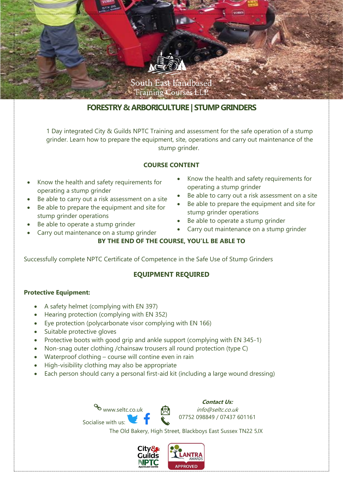

# **FORESTRY & ARBORICULTURE | STUMP GRINDERS**

1 Day integrated City & Guilds NPTC Training and assessment for the safe operation of a stump grinder. Learn how to prepare the equipment, site, operations and carry out maintenance of the stump grinder.

## **COURSE CONTENT**

- Know the health and safety requirements for operating a stump grinder
- Be able to carry out a risk assessment on a site
- Be able to prepare the equipment and site for stump grinder operations
- Be able to operate a stump grinder
- Carry out maintenance on a stump grinder
- Know the health and safety requirements for operating a stump grinder
- Be able to carry out a risk assessment on a site
- Be able to prepare the equipment and site for stump grinder operations
- Be able to operate a stump grinder
- Carry out maintenance on a stump grinder

## **BY THE END OF THE COURSE, YOU'LL BE ABLE TO**

Successfully complete NPTC Certificate of Competence in the Safe Use of Stump Grinders

## **EQUIPMENT REQUIRED**

### **Protective Equipment:**

- A safety helmet (complying with EN 397)
- Hearing protection (complying with EN 352)
- Eye protection (polycarbonate visor complying with EN 166)
- Suitable protective gloves
- Protective boots with good grip and ankle support (complying with EN 345-1)
- Non-snag outer clothing /chainsaw trousers all round protection (type C)
- Waterproof clothing course will contine even in rain
- High-visibility clothing may also be appropriate

Socialise with us:

• Each person should carry a personal first-aid kit (including a large wound dressing)

www.seltc.co.uk **Contact Us:** info@seltc.co.uk 07752 098849 / 07437 601161

The Old Bakery, High Street, Blackboys East Sussex TN22 5JX